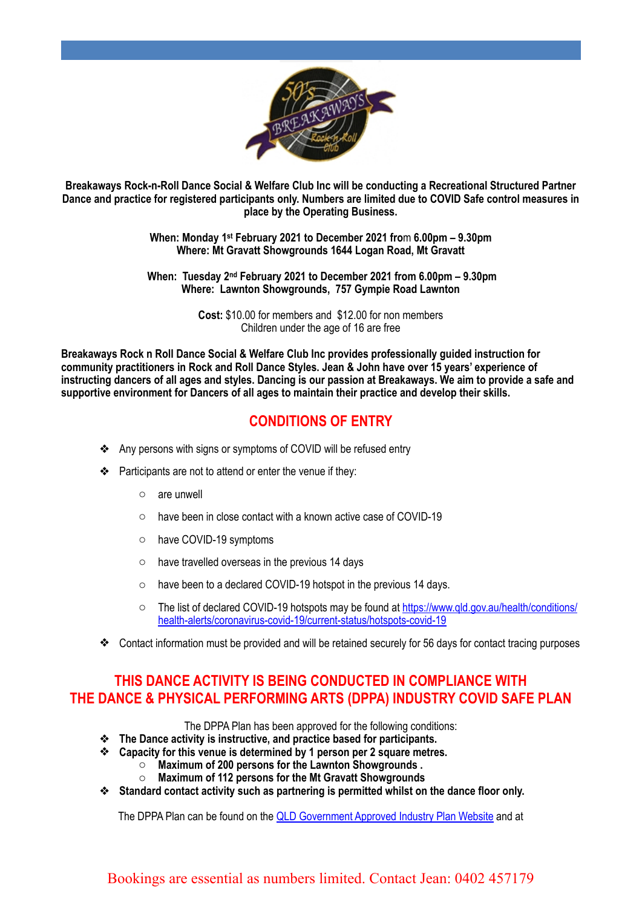

**Breakaways Rock-n-Roll Dance Social & Welfare Club Inc will be conducting a Recreational Structured Partner Dance and practice for registered participants only. Numbers are limited due to COVID Safe control measures in place by the Operating Business.**

> **When: Monday 1st February 2021 to December 2021 fro**m **6.00pm – 9.30pm Where: Mt Gravatt Showgrounds 1644 Logan Road, Mt Gravatt**

 **When: Tuesday 2nd February 2021 to December 2021 from 6.00pm – 9.30pm Where: Lawnton Showgrounds, 757 Gympie Road Lawnton**

> **Cost:** \$10.00 for members and \$12.00 for non members Children under the age of 16 are free

**Breakaways Rock n Roll Dance Social & Welfare Club Inc provides professionally guided instruction for community practitioners in Rock and Roll Dance Styles. Jean & John have over 15 years' experience of instructing dancers of all ages and styles. Dancing is our passion at Breakaways. We aim to provide a safe and supportive environment for Dancers of all ages to maintain their practice and develop their skills.**

## **CONDITIONS OF ENTRY**

- ❖ Any persons with signs or symptoms of COVID will be refused entry
- ❖ Participants are not to attend or enter the venue if they:
	- o are unwell
	- o have been in close contact with a known active case of COVID-19
	- o have COVID-19 symptoms
	- $\circ$  have travelled overseas in the previous 14 days
	- o have been to a declared COVID-19 hotspot in the previous 14 days.
	- o The list of declared COVID-19 hotspots may be found at [https://www.qld.gov.au/health/conditions/](https://www.qld.gov.au/health/conditions/health-alerts/coronavirus-covid-19/current-status/hotspots-covid-19) [health-alerts/coronavirus-covid-19/current-status/hotspots-covid-19](https://www.qld.gov.au/health/conditions/health-alerts/coronavirus-covid-19/current-status/hotspots-covid-19)
- ❖ Contact information must be provided and will be retained securely for 56 days for contact tracing purposes

#### **THIS DANCE ACTIVITY IS BEING CONDUCTED IN COMPLIANCE WITH THE DANCE & PHYSICAL PERFORMING ARTS (DPPA) INDUSTRY COVID SAFE PLAN**

The DPPA Plan has been approved for the following conditions:

- ❖ **The Dance activity is instructive, and practice based for participants.**
- ❖ **Capacity for this venue is determined by 1 person per 2 square metres.**
	- o **Maximum of 200 persons for the Lawnton Showgrounds .**
	- o **Maximum of 112 persons for the Mt Gravatt Showgrounds**
- ❖ **Standard contact activity such as partnering is permitted whilst on the dance floor only.**

The DPPA Plan can be found on the [QLD Government Approved Industry Plan Website](https://www.covid19.qld.gov.au/government-actions/approved-industry-covid-safe-plans) and at

#### Bookings are essential as numbers limited. Contact Jean: 0402 457179